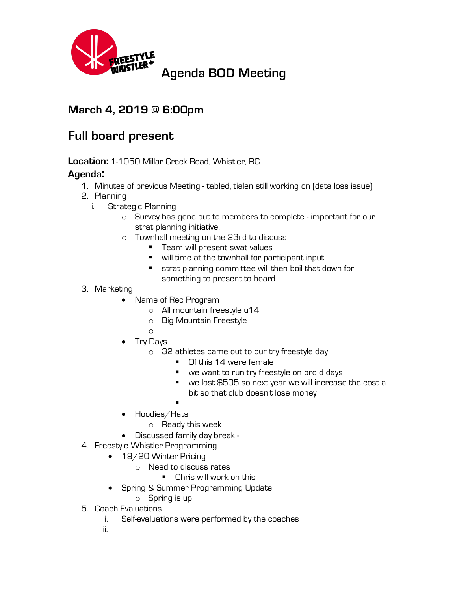

## **March 4, 2019 @ 6:00pm**

## **Full board present**

**Location:** 1-1050 Millar Creek Road, Whistler, BC

## **Agenda:**

- 1. Minutes of previous Meeting tabled, tialen still working on (data loss issue)
- 2. Planning
	- i. Strategic Planning
		- o Survey has gone out to members to complete important for our strat planning initiative.
		- o Townhall meeting on the 23rd to discuss
			- Team will present swat values
			- will time at the townhall for participant input
			- strat planning committee will then boil that down for something to present to board
- 3. Marketing
	- Name of Rec Program
		- o All mountain freestyle u14
		- o Big Mountain Freestyle
		- o
	- Try Days
		- o 32 athletes came out to our try freestyle day
			- Of this 14 were female
			- we want to run try freestyle on pro d days
			- we lost \$505 so next year we will increase the cost a bit so that club doesn't lose money
			- §
	- Hoodies/Hats
		- o Ready this week
	- Discussed family day break -
- 4. Freestyle Whistler Programming
	- 19/20 Winter Pricing
		- o Need to discuss rates
			- Chris will work on this
	- Spring & Summer Programming Update
		- o Spring is up
- 5. Coach Evaluations
	- i. Self-evaluations were performed by the coaches
	- ii.